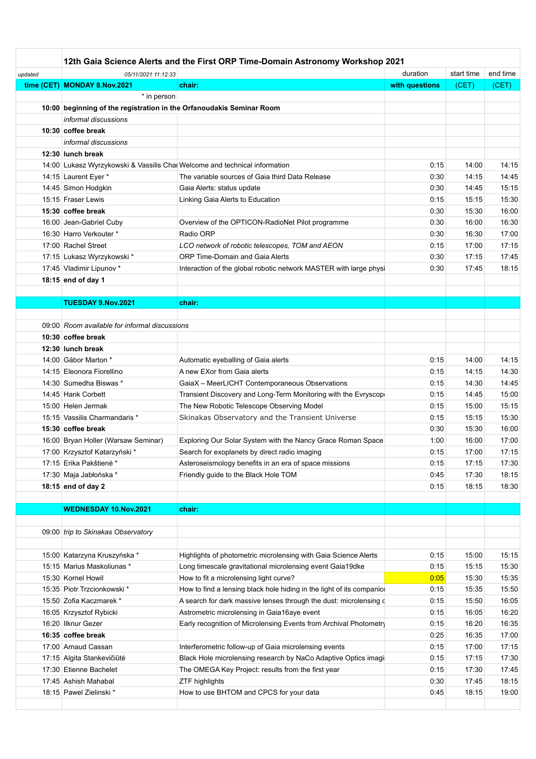|         |                                                                            | 12th Gaia Science Alerts and the First ORP Time-Domain Astronomy Workshop 2021 |                |                |                |
|---------|----------------------------------------------------------------------------|--------------------------------------------------------------------------------|----------------|----------------|----------------|
| updated | 05/11/2021 11:12:33                                                        |                                                                                | duration       | start time     | end time       |
|         | time (CET) MONDAY 8.Nov.2021                                               | chair:                                                                         | with questions | (CET)          | (CET)          |
|         | * in person                                                                |                                                                                |                |                |                |
|         | 10:00 beginning of the registration in the Orfanoudakis Seminar Room       |                                                                                |                |                |                |
|         | informal discussions                                                       |                                                                                |                |                |                |
|         | 10:30 coffee break                                                         |                                                                                |                |                |                |
|         | informal discussions                                                       |                                                                                |                |                |                |
|         | 12:30 lunch break                                                          |                                                                                |                |                |                |
|         | 14:00 Lukasz Wyrzykowski & Vassilis Chai Welcome and technical information |                                                                                | 0:15           | 14:00          | 14:15          |
|         | 14:15 Laurent Eyer *                                                       | The variable sources of Gaia third Data Release                                | 0:30           | 14:15          | 14:45          |
|         | 14:45 Simon Hodgkin                                                        | Gaia Alerts: status update                                                     | 0:30           | 14:45          | 15:15          |
|         | 15:15 Fraser Lewis                                                         | Linking Gaia Alerts to Education                                               | 0:15           | 15:15          | 15:30          |
|         | 15:30 coffee break                                                         |                                                                                | 0:30           | 15:30          | 16:00          |
|         | 16:00 Jean-Gabriel Cuby                                                    | Overview of the OPTICON-RadioNet Pilot programme                               | 0:30           | 16:00          | 16:30          |
|         | 16:30 Harro Verkouter *                                                    | Radio ORP                                                                      | 0:30           | 16:30          | 17:00          |
|         | 17:00 Rachel Street                                                        | LCO network of robotic telescopes, TOM and AEON                                | 0:15           | 17:00          | 17:15          |
|         | 17:15 Lukasz Wyrzykowski*                                                  | <b>ORP Time-Domain and Gaia Alerts</b>                                         | 0:30           | 17:15          | 17:45          |
|         | 17:45 Vladimir Lipunov *                                                   | Interaction of the global robotic network MASTER with large physi              | 0:30           | 17:45          | 18:15          |
|         | 18:15 end of day 1                                                         |                                                                                |                |                |                |
|         | TUESDAY 9.Nov.2021                                                         | chair:                                                                         |                |                |                |
|         |                                                                            |                                                                                |                |                |                |
|         | 09:00 Room available for informal discussions                              |                                                                                |                |                |                |
|         | 10:30 coffee break                                                         |                                                                                |                |                |                |
|         | 12:30 lunch break                                                          |                                                                                |                |                |                |
|         | 14:00 Gábor Marton *                                                       | Automatic eyeballing of Gaia alerts                                            | 0:15           | 14:00          | 14:15          |
|         | 14:15 Eleonora Fiorellino                                                  | A new EXor from Gaia alerts                                                    | 0:15           | 14:15          | 14:30          |
|         | 14:30 Sumedha Biswas *                                                     | GaiaX - MeerLICHT Contemporaneous Observations                                 | 0:15           | 14:30          | 14:45          |
|         | 14:45 Hank Corbett                                                         | Transient Discovery and Long-Term Monitoring with the Evryscop                 | 0:15           | 14:45          | 15:00          |
|         | 15:00 Helen Jermak                                                         | The New Robotic Telescope Observing Model                                      | 0:15           | 15:00          | 15:15          |
|         | 15:15 Vassilis Charmandaris *                                              | Skinakas Observatory and the Transient Universe                                | 0:15           | 15:15          | 15:30          |
|         | 15:30 coffee break                                                         |                                                                                | 0:30           | 15:30          | 16:00          |
|         | 16:00 Bryan Holler (Warsaw Seminar)                                        | Exploring Our Solar System with the Nancy Grace Roman Space                    | 1:00           | 16:00          | 17:00          |
|         | 17:00 Krzysztof Katarzyński*                                               | Search for exoplanets by direct radio imaging                                  | 0:15           | 17:00          | 17:15          |
|         | 17:15 Erika Pakštienė*                                                     | Asteroseismology benefits in an era of space missions                          | 0:15           | 17:15          | 17:30          |
|         | 17:30 Maja Jabłońska*                                                      | Friendly guide to the Black Hole TOM                                           | 0:45           | 17:30          | 18:15          |
|         | 18:15 end of day 2                                                         |                                                                                | 0:15           | 18:15          | 18:30          |
|         |                                                                            |                                                                                |                |                |                |
|         | <b>WEDNESDAY 10.Nov.2021</b>                                               | chair:                                                                         |                |                |                |
|         |                                                                            |                                                                                |                |                |                |
|         | 09:00 trip to Skinakas Observatory                                         |                                                                                |                |                |                |
|         |                                                                            |                                                                                |                |                |                |
|         | 15:00 Katarzyna Kruszyńska*                                                | Highlights of photometric microlensing with Gaia Science Alerts                | 0:15           | 15:00          | 15:15          |
|         | 15:15 Marius Maskoliunas *                                                 | Long timescale gravitational microlensing event Gaia19dke                      | 0:15           | 15:15          | 15:30          |
|         | 15:30 Kornel Howil                                                         | How to fit a microlensing light curve?                                         | 0:05           | 15:30          | 15:35          |
|         | 15:35 Piotr Trzcionkowski *                                                | How to find a lensing black hole hiding in the light of its companio           | 0:15           | 15:35          | 15:50          |
|         | 15:50 Zofia Kaczmarek *                                                    | A search for dark massive lenses through the dust: microlensing d              | 0:15           | 15:50          | 16:05          |
|         | 16:05 Krzysztof Rybicki                                                    | Astrometric microlensing in Gaia16aye event                                    | 0:15           | 16:05          | 16:20          |
|         | 16:20 Ilknur Gezer                                                         | Early recognition of Microlensing Events from Archival Photometry              | 0:15           | 16:20          | 16:35          |
|         | 16:35 coffee break                                                         |                                                                                | 0:25           | 16:35          | 17:00          |
|         | 17:00 Arnaud Cassan                                                        | Interferometric follow-up of Gaia microlensing events                          | 0:15           | 17:00          | 17:15          |
|         | 17:15 Algita Stankevičiūtė                                                 | Black Hole microlensing research by NaCo Adaptive Optics imagi                 | 0:15           | 17:15          | 17:30          |
|         | 17:30 Etienne Bachelet                                                     | The OMEGA Key Project: results from the first year                             | 0:15           | 17:30          | 17:45          |
|         | 17:45 Ashish Mahabal<br>18:15 Pawel Zielinski *                            | ZTF highlights<br>How to use BHTOM and CPCS for your data                      | 0:30<br>0:45   | 17:45<br>18:15 | 18:15<br>19:00 |
|         |                                                                            |                                                                                |                |                |                |